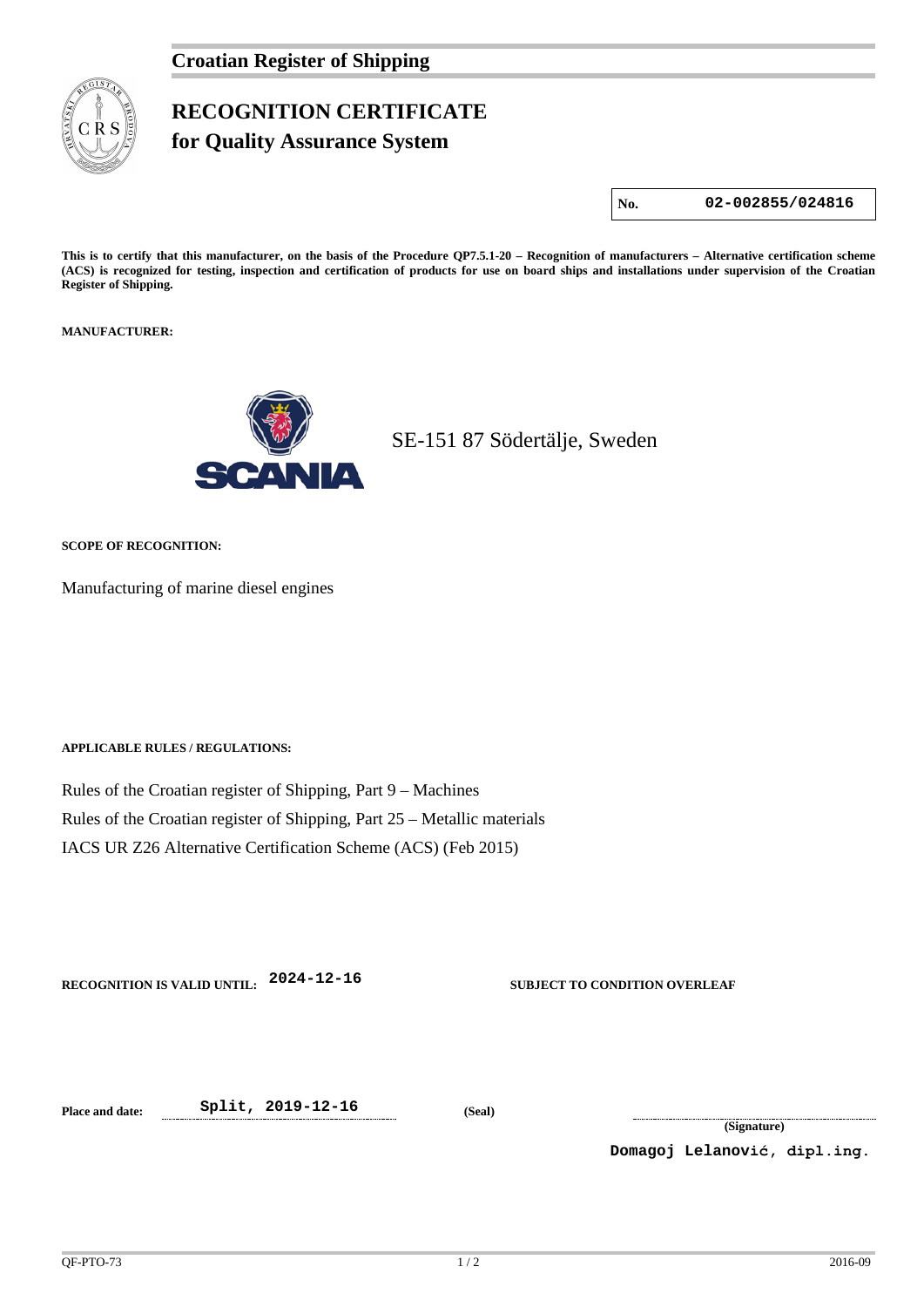

## **RECOGNITION CERTIFICATE**

**for Quality Assurance System** 

**No. 02-002855/024816**

**This is to certify that this manufacturer, on the basis of the Procedure QP7.5.1-20 – Recognition of manufacturers – Alternative certification scheme (ACS) is recognized for testing, inspection and certification of products for use on board ships and installations under supervision of the Croatian Register of Shipping.**

**MANUFACTURER:**



SE-151 87 Södertälje, Sweden

**SCOPE OF RECOGNITION:**

Manufacturing of marine diesel engines

**APPLICABLE RULES / REGULATIONS:**

Rules of the Croatian register of Shipping, Part 9 – Machines Rules of the Croatian register of Shipping, Part 25 – Metallic materials IACS UR Z26 Alternative Certification Scheme (ACS) (Feb 2015)

**RECOGNITION IS VALID UNTIL: 2024-12-16 SUBJECT TO CONDITION OVERLEAF**

**Place and date: Split, 2019-12-16 (Seal)**

**(Signature)**

**Domagoj Lelanović, dipl.ing.**